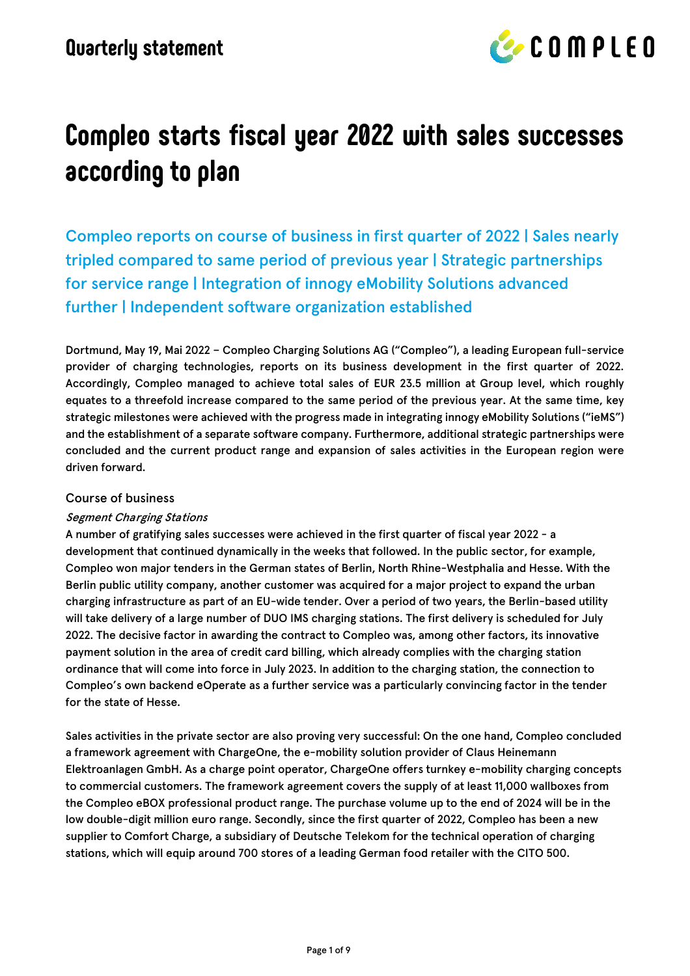

# **Compleo starts fiscal year 2022 with sales successes according to plan**

Compleo reports on course of business in first quarter of 2022 | Sales nearly tripled compared to same period of previous year | Strategic partnerships for service range | Integration of innogy eMobility Solutions advanced further | Independent software organization established

Dortmund, May 19, Mai 2022 – Compleo Charging Solutions AG ("Compleo"), a leading European full-service provider of charging technologies, reports on its business development in the first quarter of 2022. Accordingly, Compleo managed to achieve total sales of EUR 23.5 million at Group level, which roughly equates to a threefold increase compared to the same period of the previous year. At the same time, key strategic milestones were achieved with the progress made in integrating innogy eMobility Solutions ("ieMS") and the establishment of a separate software company. Furthermore, additional strategic partnerships were concluded and the current product range and expansion of sales activities in the European region were driven forward.

#### Course of business

#### Segment Charging Stations

A number of gratifying sales successes were achieved in the first quarter of fiscal year 2022 - a development that continued dynamically in the weeks that followed. In the public sector, for example, Compleo won major tenders in the German states of Berlin, North Rhine-Westphalia and Hesse. With the Berlin public utility company, another customer was acquired for a major project to expand the urban charging infrastructure as part of an EU-wide tender. Over a period of two years, the Berlin-based utility will take delivery of a large number of DUO IMS charging stations. The first delivery is scheduled for July 2022. The decisive factor in awarding the contract to Compleo was, among other factors, its innovative payment solution in the area of credit card billing, which already complies with the charging station ordinance that will come into force in July 2023. In addition to the charging station, the connection to Compleo's own backend eOperate as a further service was a particularly convincing factor in the tender for the state of Hesse.

Sales activities in the private sector are also proving very successful: On the one hand, Compleo concluded a framework agreement with ChargeOne, the e-mobility solution provider of Claus Heinemann Elektroanlagen GmbH. As a charge point operator, ChargeOne offers turnkey e-mobility charging concepts to commercial customers. The framework agreement covers the supply of at least 11,000 wallboxes from the Compleo eBOX professional product range. The purchase volume up to the end of 2024 will be in the low double-digit million euro range. Secondly, since the first quarter of 2022, Compleo has been a new supplier to Comfort Charge, a subsidiary of Deutsche Telekom for the technical operation of charging stations, which will equip around 700 stores of a leading German food retailer with the CITO 500.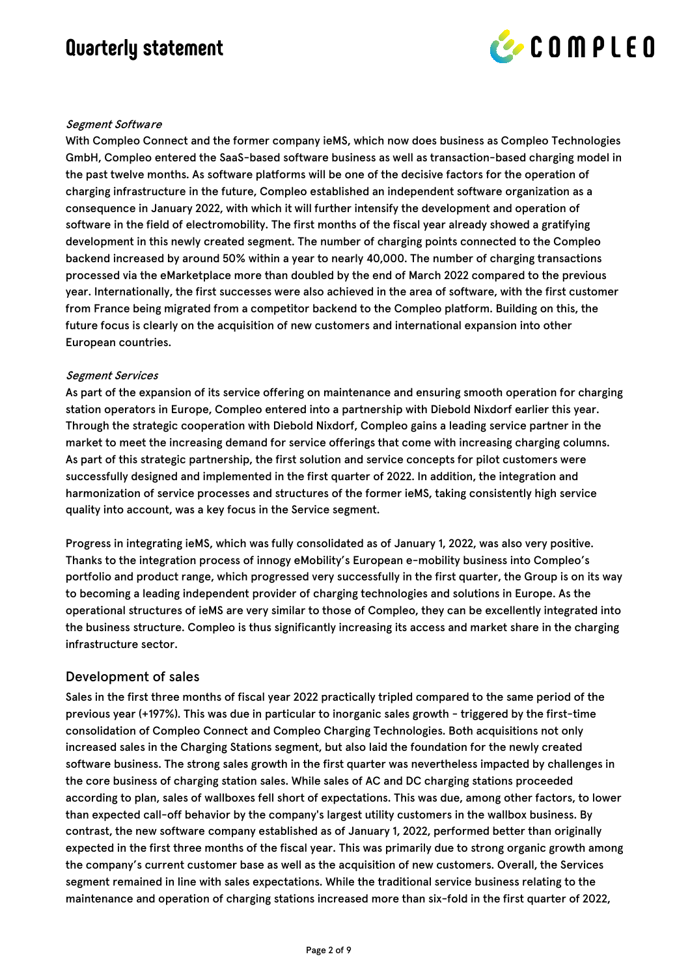

#### Segment Software

With Compleo Connect and the former company ieMS, which now does business as Compleo Technologies GmbH, Compleo entered the SaaS-based software business as well as transaction-based charging model in the past twelve months. As software platforms will be one of the decisive factors for the operation of charging infrastructure in the future, Compleo established an independent software organization as a consequence in January 2022, with which it will further intensify the development and operation of software in the field of electromobility. The first months of the fiscal year already showed a gratifying development in this newly created segment. The number of charging points connected to the Compleo backend increased by around 50% within a year to nearly 40,000. The number of charging transactions processed via the eMarketplace more than doubled by the end of March 2022 compared to the previous year. Internationally, the first successes were also achieved in the area of software, with the first customer from France being migrated from a competitor backend to the Compleo platform. Building on this, the future focus is clearly on the acquisition of new customers and international expansion into other European countries.

#### Segment Services

As part of the expansion of its service offering on maintenance and ensuring smooth operation for charging station operators in Europe, Compleo entered into a partnership with Diebold Nixdorf earlier this year. Through the strategic cooperation with Diebold Nixdorf, Compleo gains a leading service partner in the market to meet the increasing demand for service offerings that come with increasing charging columns. As part of this strategic partnership, the first solution and service concepts for pilot customers were successfully designed and implemented in the first quarter of 2022. In addition, the integration and harmonization of service processes and structures of the former ieMS, taking consistently high service quality into account, was a key focus in the Service segment.

Progress in integrating ieMS, which was fully consolidated as of January 1, 2022, was also very positive. Thanks to the integration process of innogy eMobility's European e-mobility business into Compleo's portfolio and product range, which progressed very successfully in the first quarter, the Group is on its way to becoming a leading independent provider of charging technologies and solutions in Europe. As the operational structures of ieMS are very similar to those of Compleo, they can be excellently integrated into the business structure. Compleo is thus significantly increasing its access and market share in the charging infrastructure sector.

#### Development of sales

Sales in the first three months of fiscal year 2022 practically tripled compared to the same period of the previous year (+197%). This was due in particular to inorganic sales growth - triggered by the first-time consolidation of Compleo Connect and Compleo Charging Technologies. Both acquisitions not only increased sales in the Charging Stations segment, but also laid the foundation for the newly created software business. The strong sales growth in the first quarter was nevertheless impacted by challenges in the core business of charging station sales. While sales of AC and DC charging stations proceeded according to plan, sales of wallboxes fell short of expectations. This was due, among other factors, to lower than expected call-off behavior by the company's largest utility customers in the wallbox business. By contrast, the new software company established as of January 1, 2022, performed better than originally expected in the first three months of the fiscal year. This was primarily due to strong organic growth among the company's current customer base as well as the acquisition of new customers. Overall, the Services segment remained in line with sales expectations. While the traditional service business relating to the maintenance and operation of charging stations increased more than six-fold in the first quarter of 2022,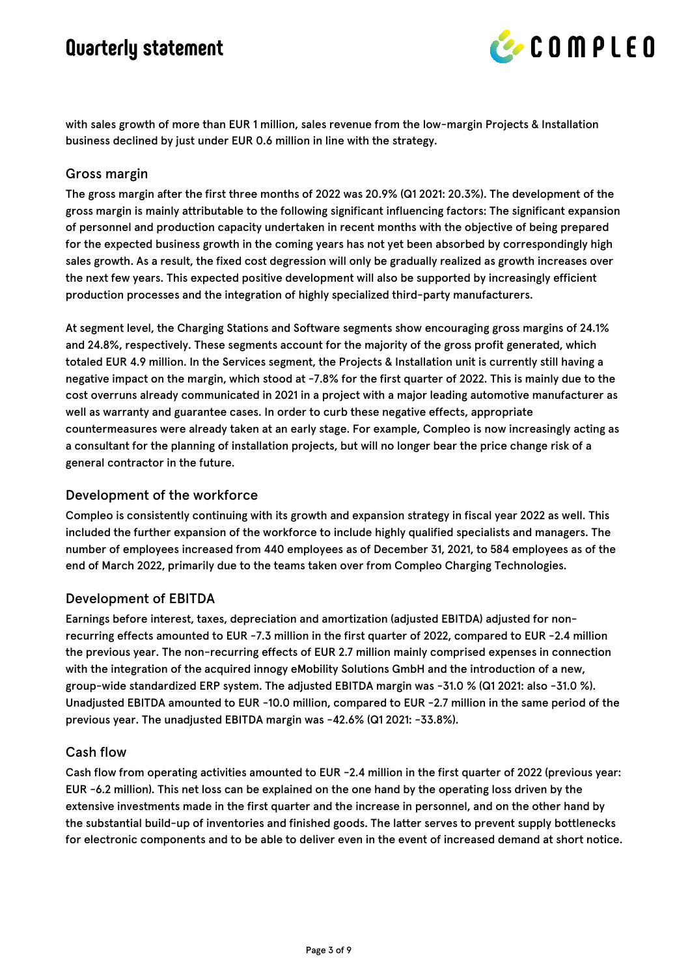

with sales growth of more than EUR 1 million, sales revenue from the low-margin Projects & Installation business declined by just under EUR 0.6 million in line with the strategy.

#### Gross margin

The gross margin after the first three months of 2022 was 20.9% (Q1 2021: 20.3%). The development of the gross margin is mainly attributable to the following significant influencing factors: The significant expansion of personnel and production capacity undertaken in recent months with the objective of being prepared for the expected business growth in the coming years has not yet been absorbed by correspondingly high sales growth. As a result, the fixed cost degression will only be gradually realized as growth increases over the next few years. This expected positive development will also be supported by increasingly efficient production processes and the integration of highly specialized third-party manufacturers.

At segment level, the Charging Stations and Software segments show encouraging gross margins of 24.1% and 24.8%, respectively. These segments account for the majority of the gross profit generated, which totaled EUR 4.9 million. In the Services segment, the Projects & Installation unit is currently still having a negative impact on the margin, which stood at -7.8% for the first quarter of 2022. This is mainly due to the cost overruns already communicated in 2021 in a project with a major leading automotive manufacturer as well as warranty and guarantee cases. In order to curb these negative effects, appropriate countermeasures were already taken at an early stage. For example, Compleo is now increasingly acting as a consultant for the planning of installation projects, but will no longer bear the price change risk of a general contractor in the future.

#### Development of the workforce

Compleo is consistently continuing with its growth and expansion strategy in fiscal year 2022 as well. This included the further expansion of the workforce to include highly qualified specialists and managers. The number of employees increased from 440 employees as of December 31, 2021, to 584 employees as of the end of March 2022, primarily due to the teams taken over from Compleo Charging Technologies.

#### Development of EBITDA

Earnings before interest, taxes, depreciation and amortization (adjusted EBITDA) adjusted for nonrecurring effects amounted to EUR -7.3 million in the first quarter of 2022, compared to EUR -2.4 million the previous year. The non-recurring effects of EUR 2.7 million mainly comprised expenses in connection with the integration of the acquired innogy eMobility Solutions GmbH and the introduction of a new, group-wide standardized ERP system. The adjusted EBITDA margin was -31.0 % (Q1 2021: also -31.0 %). Unadjusted EBITDA amounted to EUR -10.0 million, compared to EUR -2.7 million in the same period of the previous year. The unadjusted EBITDA margin was -42.6% (Q1 2021: -33.8%).

#### Cash flow

Cash flow from operating activities amounted to EUR -2.4 million in the first quarter of 2022 (previous year: EUR -6.2 million). This net loss can be explained on the one hand by the operating loss driven by the extensive investments made in the first quarter and the increase in personnel, and on the other hand by the substantial build-up of inventories and finished goods. The latter serves to prevent supply bottlenecks for electronic components and to be able to deliver even in the event of increased demand at short notice.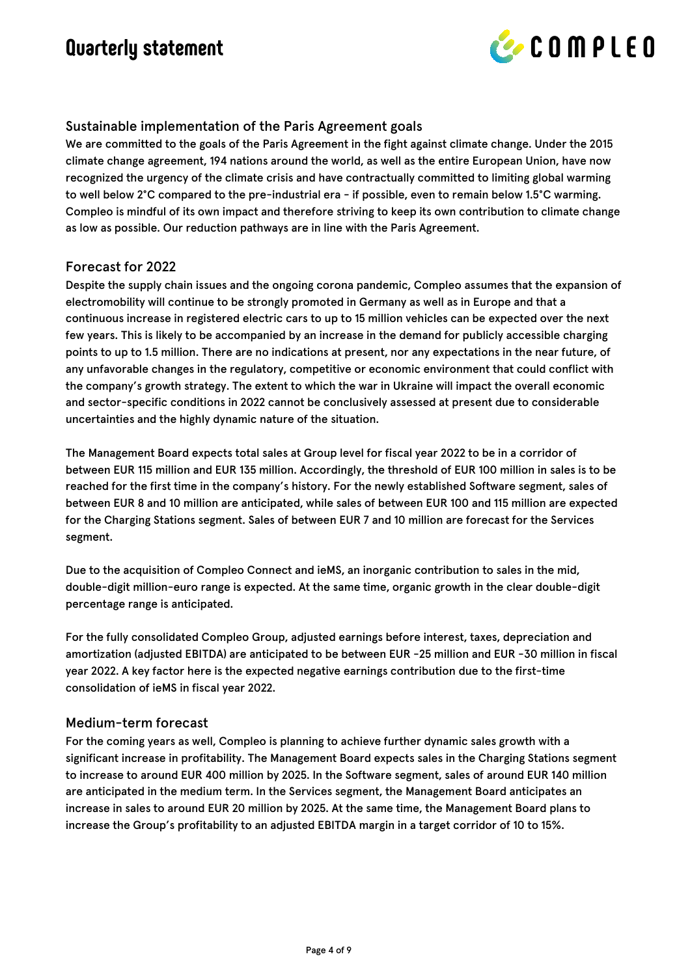

#### Sustainable implementation of the Paris Agreement goals

We are committed to the goals of the Paris Agreement in the fight against climate change. Under the 2015 climate change agreement, 194 nations around the world, as well as the entire European Union, have now recognized the urgency of the climate crisis and have contractually committed to limiting global warming to well below 2°C compared to the pre-industrial era - if possible, even to remain below 1.5°C warming. Compleo is mindful of its own impact and therefore striving to keep its own contribution to climate change as low as possible. Our reduction pathways are in line with the Paris Agreement.

#### Forecast for 2022

Despite the supply chain issues and the ongoing corona pandemic, Compleo assumes that the expansion of electromobility will continue to be strongly promoted in Germany as well as in Europe and that a continuous increase in registered electric cars to up to 15 million vehicles can be expected over the next few years. This is likely to be accompanied by an increase in the demand for publicly accessible charging points to up to 1.5 million. There are no indications at present, nor any expectations in the near future, of any unfavorable changes in the regulatory, competitive or economic environment that could conflict with the company's growth strategy. The extent to which the war in Ukraine will impact the overall economic and sector-specific conditions in 2022 cannot be conclusively assessed at present due to considerable uncertainties and the highly dynamic nature of the situation.

The Management Board expects total sales at Group level for fiscal year 2022 to be in a corridor of between EUR 115 million and EUR 135 million. Accordingly, the threshold of EUR 100 million in sales is to be reached for the first time in the company's history. For the newly established Software segment, sales of between EUR 8 and 10 million are anticipated, while sales of between EUR 100 and 115 million are expected for the Charging Stations segment. Sales of between EUR 7 and 10 million are forecast for the Services segment.

Due to the acquisition of Compleo Connect and ieMS, an inorganic contribution to sales in the mid, double-digit million-euro range is expected. At the same time, organic growth in the clear double-digit percentage range is anticipated.

For the fully consolidated Compleo Group, adjusted earnings before interest, taxes, depreciation and amortization (adjusted EBITDA) are anticipated to be between EUR -25 million and EUR -30 million in fiscal year 2022. A key factor here is the expected negative earnings contribution due to the first-time consolidation of ieMS in fiscal year 2022.

#### Medium-term forecast

For the coming years as well, Compleo is planning to achieve further dynamic sales growth with a significant increase in profitability. The Management Board expects sales in the Charging Stations segment to increase to around EUR 400 million by 2025. In the Software segment, sales of around EUR 140 million are anticipated in the medium term. In the Services segment, the Management Board anticipates an increase in sales to around EUR 20 million by 2025. At the same time, the Management Board plans to increase the Group's profitability to an adjusted EBITDA margin in a target corridor of 10 to 15%.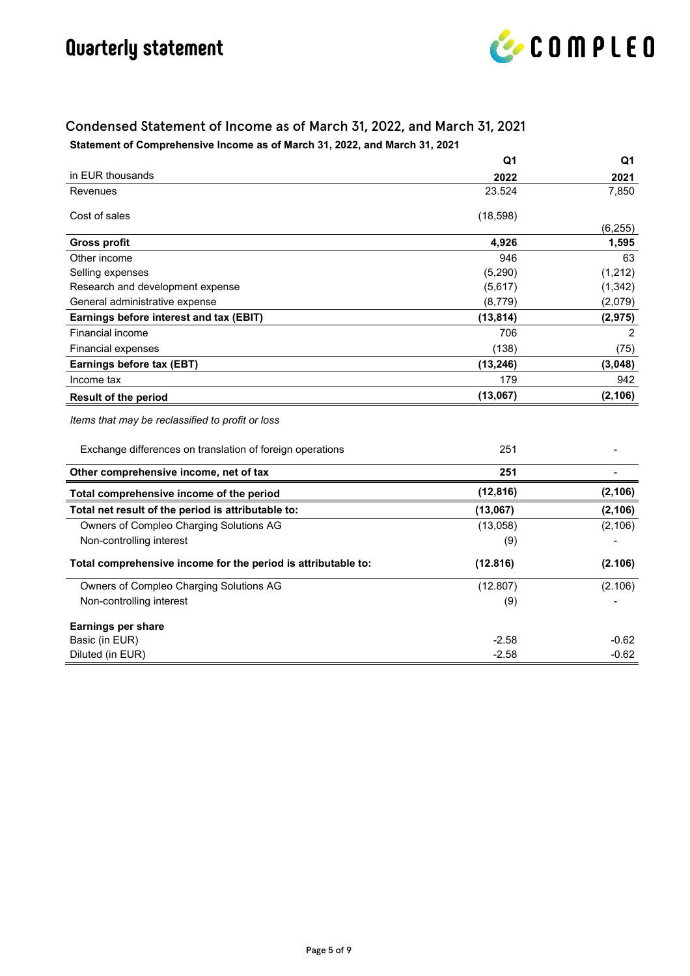

#### Condensed Statement of Income as of March 31, 2022, and March 31, 2021 **Statement of Comprehensive Income as of March 31, 2022, and March 31, 2021**

|                                                               | Q1        | Q1       |
|---------------------------------------------------------------|-----------|----------|
| in EUR thousands                                              | 2022      | 2021     |
| Revenues                                                      | 23.524    | 7,850    |
| Cost of sales                                                 | (18, 598) |          |
|                                                               |           | (6, 255) |
| <b>Gross profit</b>                                           | 4,926     | 1,595    |
| Other income                                                  | 946       | 63       |
| Selling expenses                                              | (5, 290)  | (1,212)  |
| Research and development expense                              | (5,617)   | (1, 342) |
| General administrative expense                                | (8,779)   | (2,079)  |
| Earnings before interest and tax (EBIT)                       | (13, 814) | (2, 975) |
| Financial income                                              | 706       | 2        |
| <b>Financial expenses</b>                                     | (138)     | (75)     |
| Earnings before tax (EBT)                                     | (13, 246) | (3,048)  |
| Income tax                                                    | 179       | 942      |
| <b>Result of the period</b>                                   | (13,067)  | (2, 106) |
| Items that may be reclassified to profit or loss              |           |          |
| Exchange differences on translation of foreign operations     | 251       |          |
| Other comprehensive income, net of tax                        | 251       |          |
| Total comprehensive income of the period                      | (12, 816) | (2, 106) |
| Total net result of the period is attributable to:            | (13,067)  | (2, 106) |
| Owners of Compleo Charging Solutions AG                       | (13,058)  | (2, 106) |
| Non-controlling interest                                      | (9)       |          |
| Total comprehensive income for the period is attributable to: | (12.816)  | (2.106)  |
| Owners of Compleo Charging Solutions AG                       | (12.807)  | (2.106)  |
| Non-controlling interest                                      | (9)       |          |
| Earnings per share                                            |           |          |
| Basic (in EUR)                                                | $-2.58$   | $-0.62$  |
| Diluted (in EUR)                                              | $-2.58$   | $-0.62$  |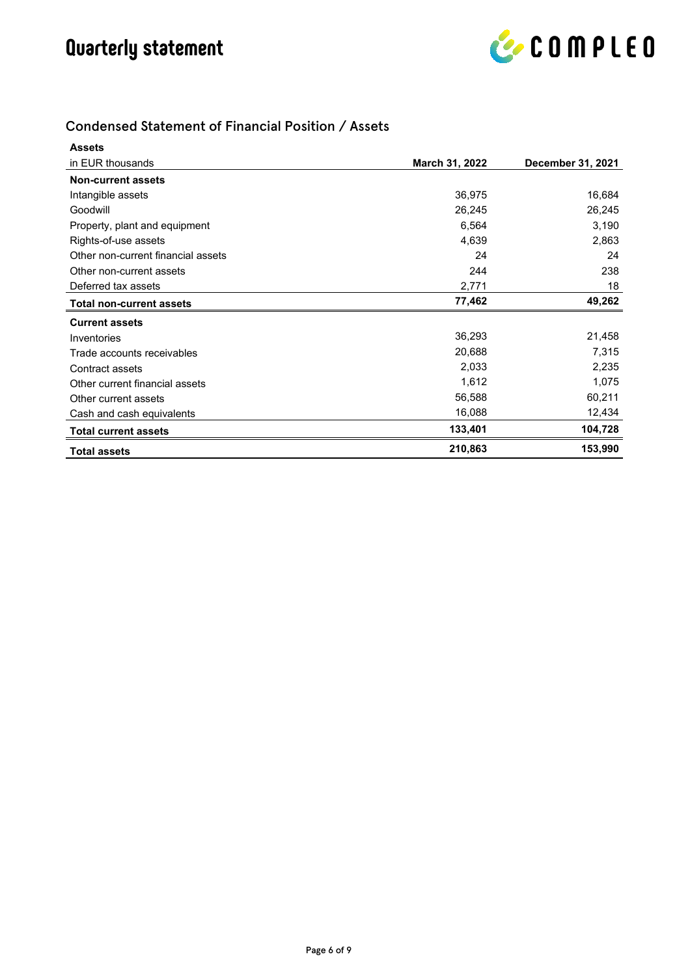

#### Condensed Statement of Financial Position / Assets

| <b>Assets</b>                      |                |                          |
|------------------------------------|----------------|--------------------------|
| in EUR thousands                   | March 31, 2022 | <b>December 31, 2021</b> |
| <b>Non-current assets</b>          |                |                          |
| Intangible assets                  | 36,975         | 16,684                   |
| Goodwill                           | 26,245         | 26,245                   |
| Property, plant and equipment      | 6,564          | 3,190                    |
| Rights-of-use assets               | 4,639          | 2,863                    |
| Other non-current financial assets | 24             | 24                       |
| Other non-current assets           | 244            | 238                      |
| Deferred tax assets                | 2,771          | 18                       |
| <b>Total non-current assets</b>    | 77,462         | 49,262                   |
| <b>Current assets</b>              |                |                          |
| Inventories                        | 36,293         | 21,458                   |
| Trade accounts receivables         | 20,688         | 7,315                    |
| Contract assets                    | 2,033          | 2,235                    |
| Other current financial assets     | 1,612          | 1,075                    |
| Other current assets               | 56,588         | 60,211                   |
| Cash and cash equivalents          | 16,088         | 12,434                   |
| <b>Total current assets</b>        | 133,401        | 104,728                  |
| <b>Total assets</b>                | 210,863        | 153,990                  |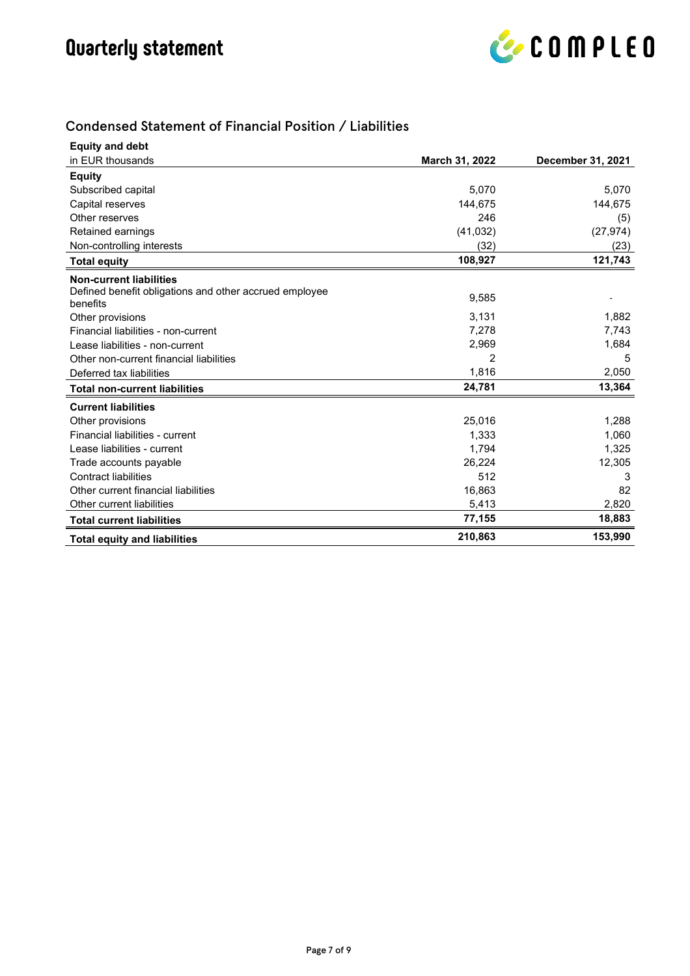

#### Condensed Statement of Financial Position / Liabilities

| <b>Equity and debt</b>                                 |                |                          |
|--------------------------------------------------------|----------------|--------------------------|
| in EUR thousands                                       | March 31, 2022 | <b>December 31, 2021</b> |
| <b>Equity</b>                                          |                |                          |
| Subscribed capital                                     | 5,070          | 5,070                    |
| Capital reserves                                       | 144.675        | 144,675                  |
| Other reserves                                         | 246            | (5)                      |
| Retained earnings                                      | (41, 032)      | (27, 974)                |
| Non-controlling interests                              | (32)           | (23)                     |
| <b>Total equity</b>                                    | 108,927        | 121,743                  |
| <b>Non-current liabilities</b>                         |                |                          |
| Defined benefit obligations and other accrued employee | 9,585          |                          |
| benefits                                               |                |                          |
| Other provisions                                       | 3,131          | 1,882                    |
| Financial liabilities - non-current                    | 7,278          | 7,743                    |
| Lease liabilities - non-current                        | 2,969          | 1,684                    |
| Other non-current financial liabilities                | 2              | 5                        |
| Deferred tax liabilities                               | 1,816          | 2,050                    |
| <b>Total non-current liabilities</b>                   | 24,781         | 13,364                   |
| <b>Current liabilities</b>                             |                |                          |
| Other provisions                                       | 25,016         | 1,288                    |
| Financial liabilities - current                        | 1,333          | 1,060                    |
| Lease liabilities - current                            | 1,794          | 1,325                    |
| Trade accounts payable                                 | 26,224         | 12,305                   |
| <b>Contract liabilities</b>                            | 512            | 3                        |
| Other current financial liabilities                    | 16,863         | 82                       |
| Other current liabilities                              | 5,413          | 2,820                    |
| <b>Total current liabilities</b>                       | 77,155         | 18,883                   |
| <b>Total equity and liabilities</b>                    | 210,863        | 153,990                  |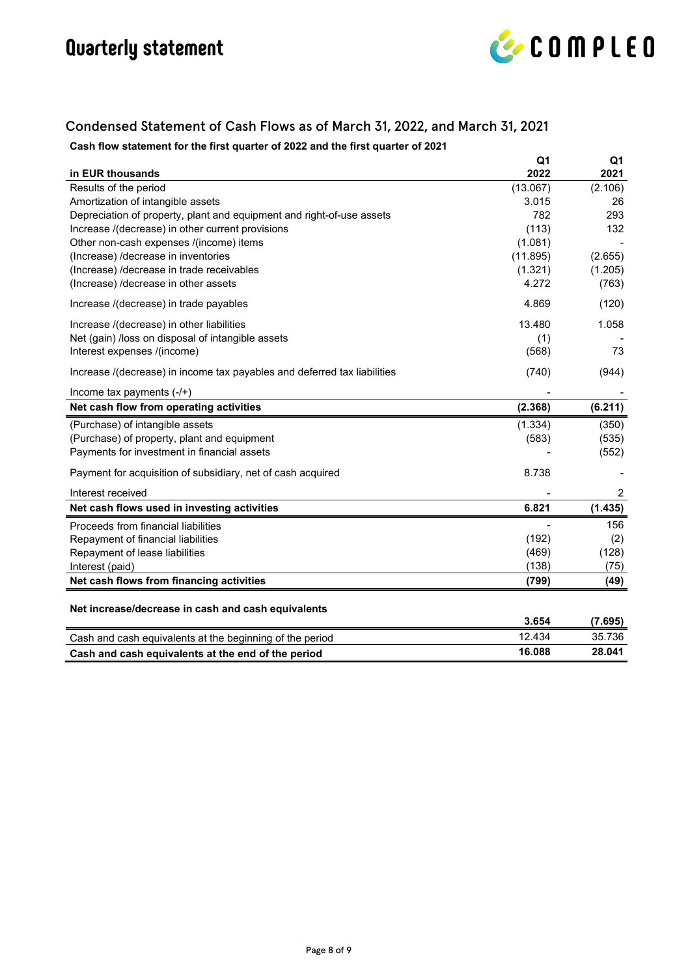

#### Condensed Statement of Cash Flows as of March 31, 2022, and March 31, 2021

**Cash flow statement for the first quarter of 2022 and the first quarter of 2021**

|                                                                          | Q1       | Q1      |
|--------------------------------------------------------------------------|----------|---------|
| in EUR thousands                                                         | 2022     | 2021    |
| Results of the period                                                    | (13.067) | (2.106) |
| Amortization of intangible assets                                        | 3.015    | 26      |
| Depreciation of property, plant and equipment and right-of-use assets    | 782      | 293     |
| Increase /(decrease) in other current provisions                         | (113)    | 132     |
| Other non-cash expenses /(income) items                                  | (1.081)  |         |
| (Increase) /decrease in inventories                                      | (11.895) | (2.655) |
| (Increase) /decrease in trade receivables                                | (1.321)  | (1.205) |
| (Increase) /decrease in other assets                                     | 4.272    | (763)   |
| Increase /(decrease) in trade payables                                   | 4.869    | (120)   |
| Increase /(decrease) in other liabilities                                | 13.480   | 1.058   |
| Net (gain) /loss on disposal of intangible assets                        | (1)      |         |
| Interest expenses /(income)                                              | (568)    | 73      |
| Increase /(decrease) in income tax payables and deferred tax liabilities | (740)    | (944)   |
| Income tax payments $(-/+)$                                              |          |         |
| Net cash flow from operating activities                                  | (2.368)  | (6.211) |
| (Purchase) of intangible assets                                          | (1.334)  | (350)   |
| (Purchase) of property, plant and equipment                              | (583)    | (535)   |
| Payments for investment in financial assets                              |          | (552)   |
| Payment for acquisition of subsidiary, net of cash acquired              | 8.738    |         |
| Interest received                                                        |          | 2       |
| Net cash flows used in investing activities                              | 6.821    | (1.435) |
| Proceeds from financial liabilities                                      |          | 156     |
| Repayment of financial liabilities                                       | (192)    | (2)     |
| Repayment of lease liabilities                                           | (469)    | (128)   |
| Interest (paid)                                                          | (138)    | (75)    |
| Net cash flows from financing activities                                 | (799)    | (49)    |
|                                                                          |          |         |
| Net increase/decrease in cash and cash equivalents                       | 3.654    | (7.695) |
| Cash and cash equivalents at the beginning of the period                 | 12.434   | 35.736  |
| Cash and cash equivalents at the end of the period                       | 16.088   | 28.041  |
|                                                                          |          |         |